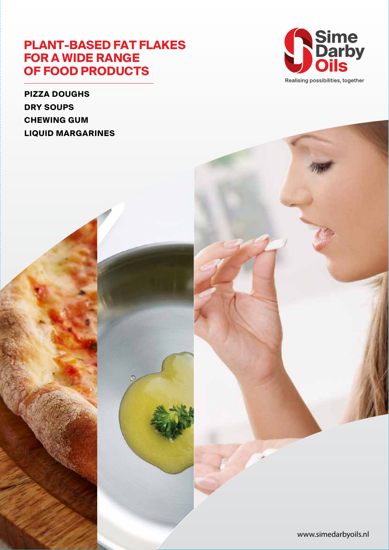# **PLANT-BASED FAT FLAKES FOR A WIDE RANGE OF FOOD PRODUCTS**





www.simedarbyoils.nl